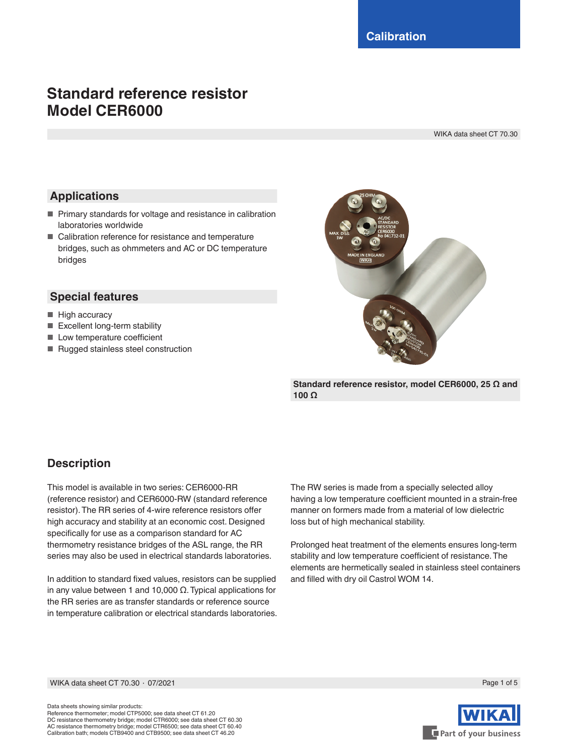# **Standard reference resistor Model CER6000**

WIKA data sheet CT 70.30

### **Applications**

- Primary standards for voltage and resistance in calibration laboratories worldwide
- Calibration reference for resistance and temperature bridges, such as ohmmeters and AC or DC temperature bridges

#### **Special features**

- High accuracy
- Excellent long-term stability
- Low temperature coefficient
- Rugged stainless steel construction



**Standard reference resistor, model CER6000, 25 Ω and 100 Ω**

## **Description**

This model is available in two series: CER6000-RR (reference resistor) and CER6000-RW (standard reference resistor). The RR series of 4-wire reference resistors offer high accuracy and stability at an economic cost. Designed specifically for use as a comparison standard for AC thermometry resistance bridges of the ASL range, the RR series may also be used in electrical standards laboratories.

In addition to standard fixed values, resistors can be supplied in any value between 1 and 10,000 Ω. Typical applications for the RR series are as transfer standards or reference source in temperature calibration or electrical standards laboratories. The RW series is made from a specially selected alloy having a low temperature coefficient mounted in a strain-free manner on formers made from a material of low dielectric loss but of high mechanical stability.

Prolonged heat treatment of the elements ensures long-term stability and low temperature coefficient of resistance. The elements are hermetically sealed in stainless steel containers and filled with dry oil Castrol WOM 14.

WIKA data sheet CT 70.30 ⋅ 07/2021 Page 1 of 5



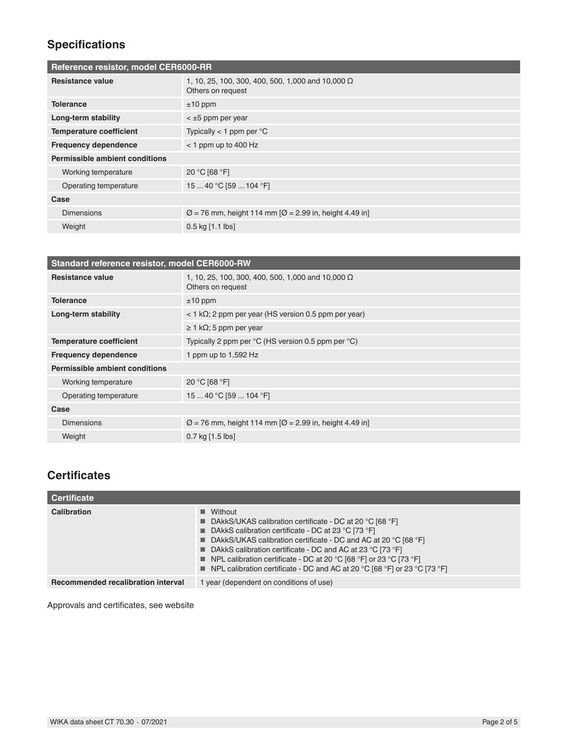## **Specifications**

| Reference resistor, model CER6000-RR  |                                                                               |  |
|---------------------------------------|-------------------------------------------------------------------------------|--|
| <b>Resistance value</b>               | 1, 10, 25, 100, 300, 400, 500, 1,000 and 10,000 $\Omega$<br>Others on request |  |
| <b>Tolerance</b>                      | $±10$ ppm                                                                     |  |
| Long-term stability                   | $<$ $\pm$ 5 ppm per year                                                      |  |
| <b>Temperature coefficient</b>        | Typically $<$ 1 ppm per $^{\circ}$ C                                          |  |
| <b>Frequency dependence</b>           | $<$ 1 ppm up to 400 Hz                                                        |  |
| <b>Permissible ambient conditions</b> |                                                                               |  |
| Working temperature                   | 20 °C [68 °F]                                                                 |  |
| Operating temperature                 | 15  40 °C [59  104 °F]                                                        |  |
| Case                                  |                                                                               |  |
| <b>Dimensions</b>                     | $\varnothing$ = 76 mm, height 114 mm $\varnothing$ = 2.99 in, height 4.49 in] |  |
| Weight                                | $0.5$ kg $[1.1$ lbs]                                                          |  |

| Standard reference resistor, model CER6000-RW |                                                                               |  |
|-----------------------------------------------|-------------------------------------------------------------------------------|--|
| Resistance value                              | 1, 10, 25, 100, 300, 400, 500, 1,000 and 10,000 $\Omega$<br>Others on request |  |
| <b>Tolerance</b>                              | $±10$ ppm                                                                     |  |
| Long-term stability                           | $<$ 1 k $\Omega$ ; 2 ppm per year (HS version 0.5 ppm per year)               |  |
|                                               | $\geq 1$ k $\Omega$ ; 5 ppm per year                                          |  |
| <b>Temperature coefficient</b>                | Typically 2 ppm per $^{\circ}$ C (HS version 0.5 ppm per $^{\circ}$ C)        |  |
| <b>Frequency dependence</b>                   | 1 ppm up to 1,592 Hz                                                          |  |
| Permissible ambient conditions                |                                                                               |  |
| Working temperature                           | 20 °C [68 °F]                                                                 |  |
| Operating temperature                         | 15  40 °C [59  104 °F]                                                        |  |
| Case                                          |                                                                               |  |
| <b>Dimensions</b>                             | $\varnothing$ = 76 mm, height 114 mm $\varnothing$ = 2.99 in, height 4.49 in] |  |
| Weight                                        | $0.7$ kg $[1.5$ lbs]                                                          |  |

## **Certificates**

| Certificate                               |                                                                                                                                                                                                                                                                                                                                                                                                                                                |
|-------------------------------------------|------------------------------------------------------------------------------------------------------------------------------------------------------------------------------------------------------------------------------------------------------------------------------------------------------------------------------------------------------------------------------------------------------------------------------------------------|
| Calibration                               | $\blacksquare$ Without<br>■ DAkkS/UKAS calibration certificate - DC at 20 °C [68 °F]<br>■ DAkkS calibration certificate - DC at 23 °C [73 °F]<br>■ DAkkS/UKAS calibration certificate - DC and AC at 20 °C [68 °F]<br>■ DAkkS calibration certificate - DC and AC at 23 °C [73 °F]<br><b>NPL</b> calibration certificate - DC at 20 °C [68 °F] or 23 °C [73 °F]<br>■ NPL calibration certificate - DC and AC at 20 °C [68 °F] or 23 °C [73 °F] |
| <b>Recommended recalibration interval</b> | 1 year (dependent on conditions of use)                                                                                                                                                                                                                                                                                                                                                                                                        |

Approvals and certificates, see website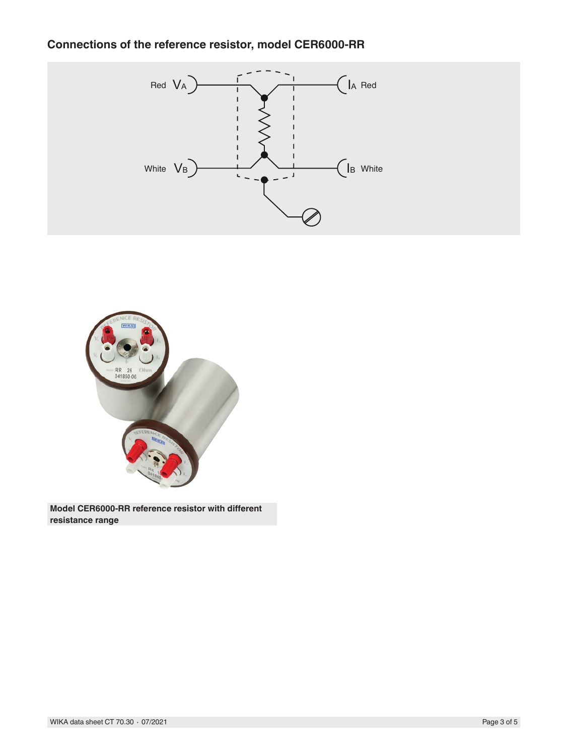## **Connections of the reference resistor, model CER6000-RR**





**Model CER6000-RR reference resistor with different resistance range**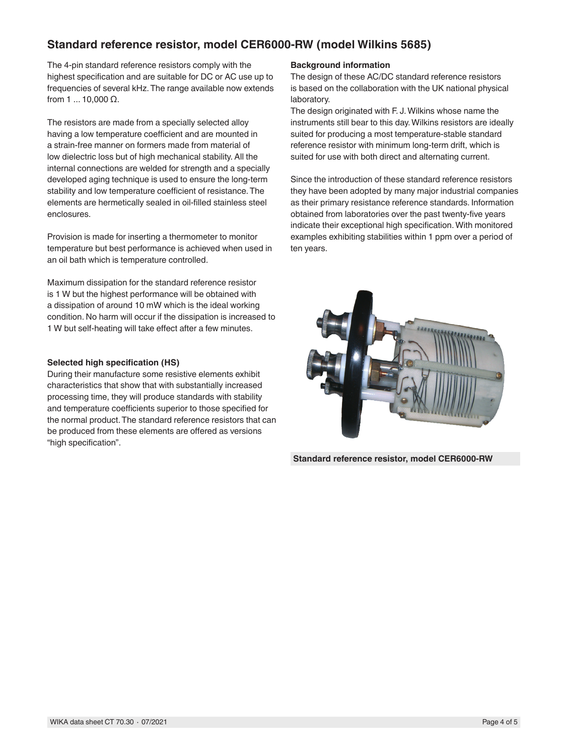### **Standard reference resistor, model CER6000-RW (model Wilkins 5685)**

The 4-pin standard reference resistors comply with the highest specification and are suitable for DC or AC use up to frequencies of several kHz. The range available now extends from 1 ... 10,000 Ω.

The resistors are made from a specially selected alloy having a low temperature coefficient and are mounted in a strain-free manner on formers made from material of low dielectric loss but of high mechanical stability. All the internal connections are welded for strength and a specially developed aging technique is used to ensure the long-term stability and low temperature coefficient of resistance. The elements are hermetically sealed in oil-filled stainless steel enclosures.

Provision is made for inserting a thermometer to monitor temperature but best performance is achieved when used in an oil bath which is temperature controlled.

Maximum dissipation for the standard reference resistor is 1 W but the highest performance will be obtained with a dissipation of around 10 mW which is the ideal working condition. No harm will occur if the dissipation is increased to 1 W but self-heating will take effect after a few minutes.

#### **Selected high specification (HS)**

During their manufacture some resistive elements exhibit characteristics that show that with substantially increased processing time, they will produce standards with stability and temperature coefficients superior to those specified for the normal product. The standard reference resistors that can be produced from these elements are offered as versions "high specification".

#### **Background information**

The design of these AC/DC standard reference resistors is based on the collaboration with the UK national physical laboratory.

The design originated with F. J. Wilkins whose name the instruments still bear to this day. Wilkins resistors are ideally suited for producing a most temperature-stable standard reference resistor with minimum long-term drift, which is suited for use with both direct and alternating current.

Since the introduction of these standard reference resistors they have been adopted by many major industrial companies as their primary resistance reference standards. Information obtained from laboratories over the past twenty-five years indicate their exceptional high specification. With monitored examples exhibiting stabilities within 1 ppm over a period of ten years.



**Standard reference resistor, model CER6000-RW**